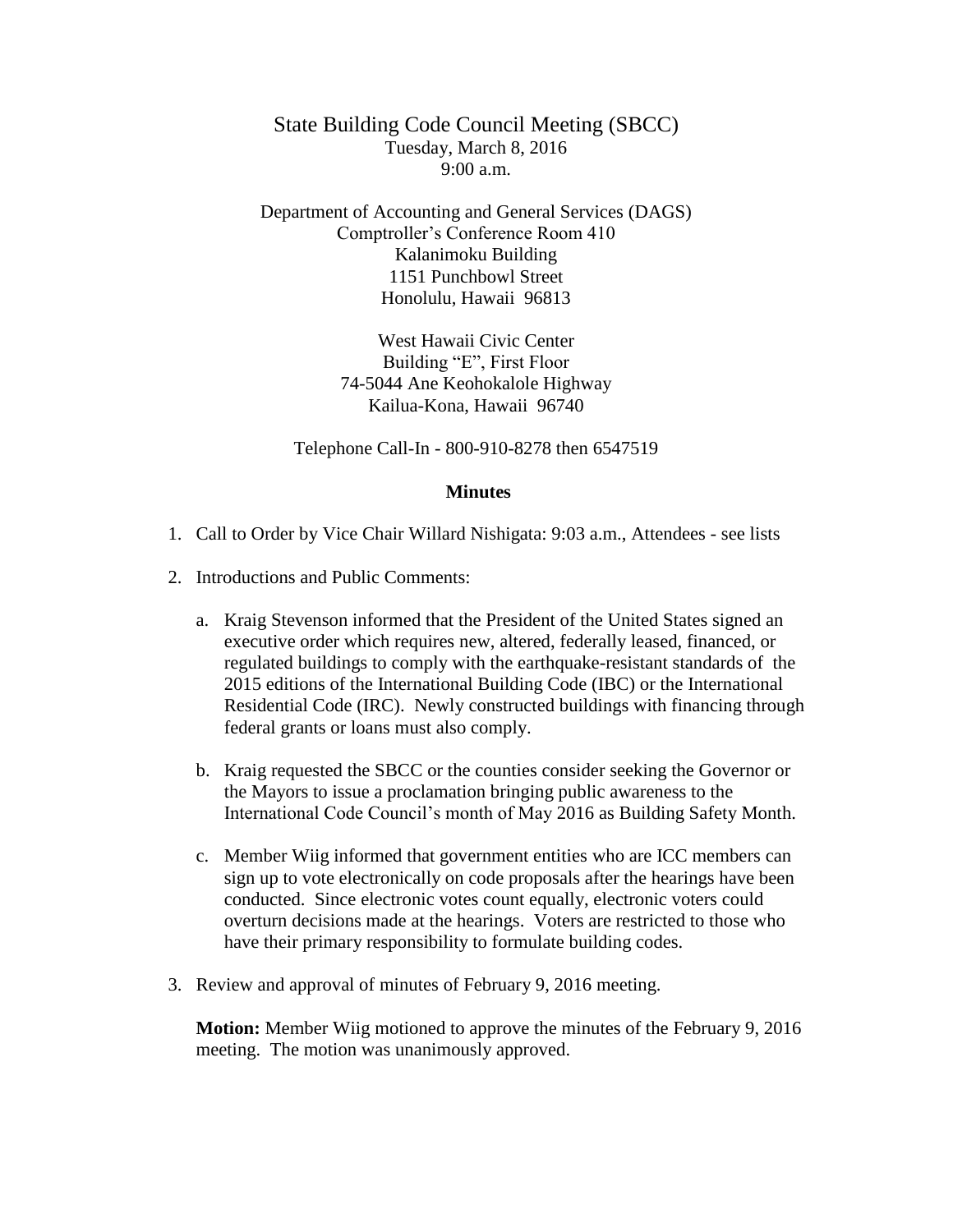State Building Code Council Meeting (SBCC) Tuesday, March 8, 2016  $9:00 a.m.$ 

Department of Accounting and General Services (DAGS) Comptroller's Conference Room 410 Kalanimoku Building 1151 Punchbowl Street Honolulu, Hawaii 96813

> West Hawaii Civic Center Building "E", First Floor 74-5044 Ane Keohokalole Highway Kailua-Kona, Hawaii 96740

Telephone Call-In - 800-910-8278 then 6547519

## **Minutes**

- 1. Call to Order by Vice Chair Willard Nishigata: 9:03 a.m., Attendees see lists
- 2. Introductions and Public Comments:
	- a. Kraig Stevenson informed that the President of the United States signed an executive order which requires new, altered, federally leased, financed, or regulated buildings to comply with the earthquake-resistant standards of the 2015 editions of the International Building Code (IBC) or the International Residential Code (IRC). Newly constructed buildings with financing through federal grants or loans must also comply.
	- b. Kraig requested the SBCC or the counties consider seeking the Governor or the Mayors to issue a proclamation bringing public awareness to the International Code Council's month of May 2016 as Building Safety Month.
	- c. Member Wiig informed that government entities who are ICC members can sign up to vote electronically on code proposals after the hearings have been conducted. Since electronic votes count equally, electronic voters could overturn decisions made at the hearings. Voters are restricted to those who have their primary responsibility to formulate building codes.
- 3. Review and approval of minutes of February 9, 2016 meeting.

**Motion:** Member Wiig motioned to approve the minutes of the February 9, 2016 meeting. The motion was unanimously approved.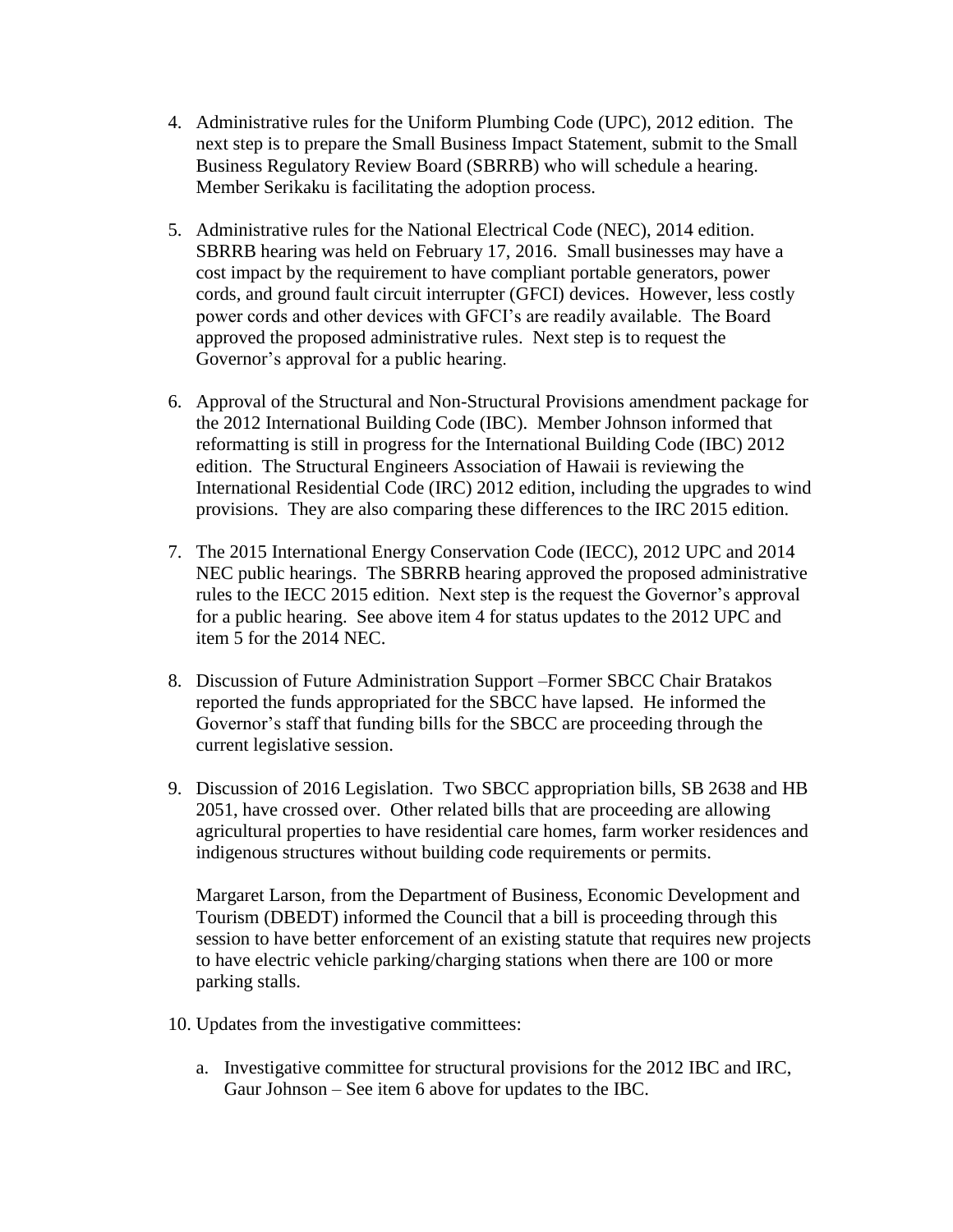- 4. Administrative rules for the Uniform Plumbing Code (UPC), 2012 edition. The next step is to prepare the Small Business Impact Statement, submit to the Small Business Regulatory Review Board (SBRRB) who will schedule a hearing. Member Serikaku is facilitating the adoption process.
- 5. Administrative rules for the National Electrical Code (NEC), 2014 edition. SBRRB hearing was held on February 17, 2016. Small businesses may have a cost impact by the requirement to have compliant portable generators, power cords, and ground fault circuit interrupter (GFCI) devices. However, less costly power cords and other devices with GFCI's are readily available. The Board approved the proposed administrative rules. Next step is to request the Governor's approval for a public hearing.
- 6. Approval of the Structural and Non-Structural Provisions amendment package for the 2012 International Building Code (IBC). Member Johnson informed that reformatting is still in progress for the International Building Code (IBC) 2012 edition. The Structural Engineers Association of Hawaii is reviewing the International Residential Code (IRC) 2012 edition, including the upgrades to wind provisions. They are also comparing these differences to the IRC 2015 edition.
- 7. The 2015 International Energy Conservation Code (IECC), 2012 UPC and 2014 NEC public hearings. The SBRRB hearing approved the proposed administrative rules to the IECC 2015 edition. Next step is the request the Governor's approval for a public hearing. See above item 4 for status updates to the 2012 UPC and item 5 for the 2014 NEC.
- 8. Discussion of Future Administration Support –Former SBCC Chair Bratakos reported the funds appropriated for the SBCC have lapsed. He informed the Governor's staff that funding bills for the SBCC are proceeding through the current legislative session.
- 9. Discussion of 2016 Legislation. Two SBCC appropriation bills, SB 2638 and HB 2051, have crossed over. Other related bills that are proceeding are allowing agricultural properties to have residential care homes, farm worker residences and indigenous structures without building code requirements or permits.

Margaret Larson, from the Department of Business, Economic Development and Tourism (DBEDT) informed the Council that a bill is proceeding through this session to have better enforcement of an existing statute that requires new projects to have electric vehicle parking/charging stations when there are 100 or more parking stalls.

- 10. Updates from the investigative committees:
	- a. Investigative committee for structural provisions for the 2012 IBC and IRC, Gaur Johnson – See item 6 above for updates to the IBC.